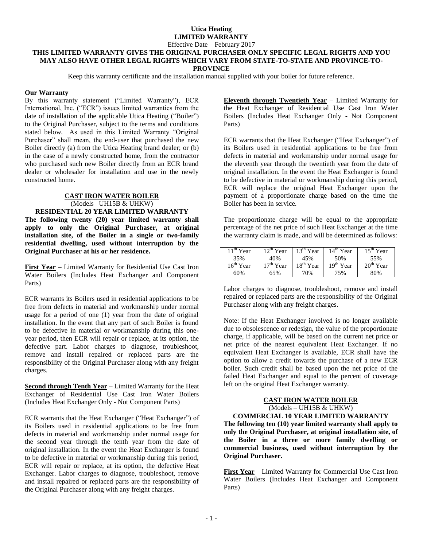Effective Date – February 2017

#### **THIS LIMITED WARRANTY GIVES THE ORIGINAL PURCHASER ONLY SPECIFIC LEGAL RIGHTS AND YOU MAY ALSO HAVE OTHER LEGAL RIGHTS WHICH VARY FROM STATE-TO-STATE AND PROVINCE-TO-PROVINCE**

Keep this warranty certificate and the installation manual supplied with your boiler for future reference.

### **Our Warranty**

By this warranty statement ("Limited Warranty"), ECR International, Inc. ("ECR") issues limited warranties from the date of installation of the applicable Utica Heating ("Boiler") to the Original Purchaser, subject to the terms and conditions stated below. As used in this Limited Warranty "Original Purchaser" shall mean, the end-user that purchased the new Boiler directly (a) from the Utica Heating brand dealer; or (b) in the case of a newly constructed home, from the contractor who purchased such new Boiler directly from an ECR brand dealer or wholesaler for installation and use in the newly constructed home.

### **CAST IRON WATER BOILER** (Models –UH15B & UHKW) **RESIDENTIAL 20 YEAR LIMITED WARRANTY**

**The following twenty (20) year limited warranty shall apply to only the Original Purchaser, at original installation site, of the Boiler in a single or two-family residential dwelling, used without interruption by the Original Purchaser at his or her residence.**

**First Year** – Limited Warranty for Residential Use Cast Iron Water Boilers (Includes Heat Exchanger and Component Parts)

ECR warrants its Boilers used in residential applications to be free from defects in material and workmanship under normal usage for a period of one (1) year from the date of original installation. In the event that any part of such Boiler is found to be defective in material or workmanship during this oneyear period, then ECR will repair or replace, at its option, the defective part. Labor charges to diagnose, troubleshoot, remove and install repaired or replaced parts are the responsibility of the Original Purchaser along with any freight charges.

**Second through Tenth Year** – Limited Warranty for the Heat Exchanger of Residential Use Cast Iron Water Boilers (Includes Heat Exchanger Only - Not Component Parts)

ECR warrants that the Heat Exchanger ("Heat Exchanger") of its Boilers used in residential applications to be free from defects in material and workmanship under normal usage for the second year through the tenth year from the date of original installation. In the event the Heat Exchanger is found to be defective in material or workmanship during this period, ECR will repair or replace, at its option, the defective Heat Exchanger. Labor charges to diagnose, troubleshoot, remove and install repaired or replaced parts are the responsibility of the Original Purchaser along with any freight charges.

**Eleventh through Twentieth Year** – Limited Warranty for the Heat Exchanger of Residential Use Cast Iron Water Boilers (Includes Heat Exchanger Only - Not Component Parts)

ECR warrants that the Heat Exchanger ("Heat Exchanger") of its Boilers used in residential applications to be free from defects in material and workmanship under normal usage for the eleventh year through the twentieth year from the date of original installation. In the event the Heat Exchanger is found to be defective in material or workmanship during this period, ECR will replace the original Heat Exchanger upon the payment of a proportionate charge based on the time the Boiler has been in service.

The proportionate charge will be equal to the appropriate percentage of the net price of such Heat Exchanger at the time the warranty claim is made, and will be determined as follows:

| $11th$ Year | $12^{th}$ Year | $13th$ Year | $14th$ Year | $15th$ Year |
|-------------|----------------|-------------|-------------|-------------|
| 35%         | 40%            | 45%         | 50%         | 55%         |
| $16th$ Year | $17th$ Year    | $18th$ Year | $19th$ Year | $20th$ Year |
| 60%         | 65%            | 70%         | 75%         | 80%         |

Labor charges to diagnose, troubleshoot, remove and install repaired or replaced parts are the responsibility of the Original Purchaser along with any freight charges.

Note: If the Heat Exchanger involved is no longer available due to obsolescence or redesign, the value of the proportionate charge, if applicable, will be based on the current net price or net price of the nearest equivalent Heat Exchanger. If no equivalent Heat Exchanger is available, ECR shall have the option to allow a credit towards the purchase of a new ECR boiler. Such credit shall be based upon the net price of the failed Heat Exchanger and equal to the percent of coverage left on the original Heat Exchanger warranty.

## **CAST IRON WATER BOILER** (Models – UH15B & UHKW)

**COMMERCIAL 10 YEAR LIMITED WARRANTY The following ten (10) year limited warranty shall apply to only the Original Purchaser, at original installation site, of the Boiler in a three or more family dwelling or commercial business, used without interruption by the Original Purchaser.**

**First Year** – Limited Warranty for Commercial Use Cast Iron Water Boilers (Includes Heat Exchanger and Component Parts)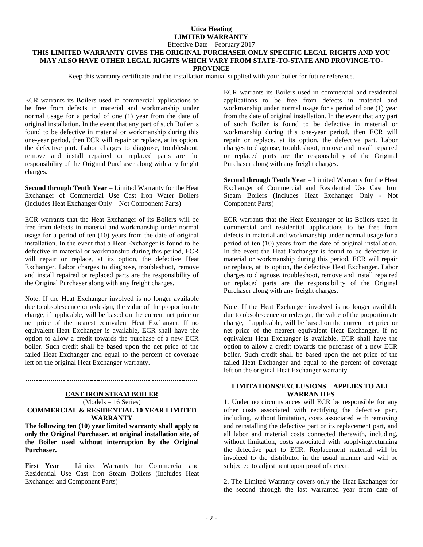Effective Date – February 2017

# **THIS LIMITED WARRANTY GIVES THE ORIGINAL PURCHASER ONLY SPECIFIC LEGAL RIGHTS AND YOU MAY ALSO HAVE OTHER LEGAL RIGHTS WHICH VARY FROM STATE-TO-STATE AND PROVINCE-TO-**

**PROVINCE**

Keep this warranty certificate and the installation manual supplied with your boiler for future reference.

ECR warrants its Boilers used in commercial applications to be free from defects in material and workmanship under normal usage for a period of one (1) year from the date of original installation. In the event that any part of such Boiler is found to be defective in material or workmanship during this one-year period, then ECR will repair or replace, at its option, the defective part. Labor charges to diagnose, troubleshoot, remove and install repaired or replaced parts are the responsibility of the Original Purchaser along with any freight charges.

**Second through Tenth Year** – Limited Warranty for the Heat Exchanger of Commercial Use Cast Iron Water Boilers (Includes Heat Exchanger Only – Not Component Parts)

ECR warrants that the Heat Exchanger of its Boilers will be free from defects in material and workmanship under normal usage for a period of ten (10) years from the date of original installation. In the event that a Heat Exchanger is found to be defective in material or workmanship during this period, ECR will repair or replace, at its option, the defective Heat Exchanger. Labor charges to diagnose, troubleshoot, remove and install repaired or replaced parts are the responsibility of the Original Purchaser along with any freight charges.

Note: If the Heat Exchanger involved is no longer available due to obsolescence or redesign, the value of the proportionate charge, if applicable, will be based on the current net price or net price of the nearest equivalent Heat Exchanger. If no equivalent Heat Exchanger is available, ECR shall have the option to allow a credit towards the purchase of a new ECR boiler. Such credit shall be based upon the net price of the failed Heat Exchanger and equal to the percent of coverage left on the original Heat Exchanger warranty.

#### **CAST IRON STEAM BOILER** (Models – 16 Series) **COMMERCIAL & RESIDENTIAL 10 YEAR LIMITED WARRANTY**

**The following ten (10) year limited warranty shall apply to only the Original Purchaser, at original installation site, of the Boiler used without interruption by the Original Purchaser.**

**First Year** – Limited Warranty for Commercial and Residential Use Cast Iron Steam Boilers (Includes Heat Exchanger and Component Parts)

ECR warrants its Boilers used in commercial and residential applications to be free from defects in material and workmanship under normal usage for a period of one (1) year from the date of original installation. In the event that any part of such Boiler is found to be defective in material or workmanship during this one-year period, then ECR will repair or replace, at its option, the defective part. Labor charges to diagnose, troubleshoot, remove and install repaired or replaced parts are the responsibility of the Original Purchaser along with any freight charges.

**Second through Tenth Year** – Limited Warranty for the Heat Exchanger of Commercial and Residential Use Cast Iron Steam Boilers (Includes Heat Exchanger Only - Not Component Parts)

ECR warrants that the Heat Exchanger of its Boilers used in commercial and residential applications to be free from defects in material and workmanship under normal usage for a period of ten (10) years from the date of original installation. In the event the Heat Exchanger is found to be defective in material or workmanship during this period, ECR will repair or replace, at its option, the defective Heat Exchanger. Labor charges to diagnose, troubleshoot, remove and install repaired or replaced parts are the responsibility of the Original Purchaser along with any freight charges.

Note: If the Heat Exchanger involved is no longer available due to obsolescence or redesign, the value of the proportionate charge, if applicable, will be based on the current net price or net price of the nearest equivalent Heat Exchanger. If no equivalent Heat Exchanger is available, ECR shall have the option to allow a credit towards the purchase of a new ECR boiler. Such credit shall be based upon the net price of the failed Heat Exchanger and equal to the percent of coverage left on the original Heat Exchanger warranty.

#### **LIMITATIONS/EXCLUSIONS – APPLIES TO ALL WARRANTIES**

1. Under no circumstances will ECR be responsible for any other costs associated with rectifying the defective part, including, without limitation, costs associated with removing and reinstalling the defective part or its replacement part, and all labor and material costs connected therewith, including, without limitation, costs associated with supplying/returning the defective part to ECR. Replacement material will be invoiced to the distributor in the usual manner and will be subjected to adjustment upon proof of defect.

2. The Limited Warranty covers only the Heat Exchanger for the second through the last warranted year from date of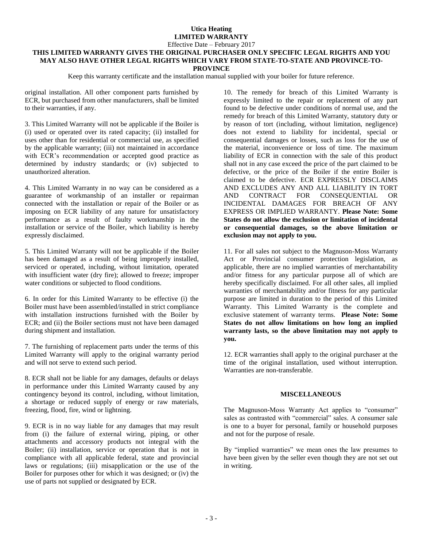#### Effective Date – February 2017

#### **THIS LIMITED WARRANTY GIVES THE ORIGINAL PURCHASER ONLY SPECIFIC LEGAL RIGHTS AND YOU MAY ALSO HAVE OTHER LEGAL RIGHTS WHICH VARY FROM STATE-TO-STATE AND PROVINCE-TO-PROVINCE**

Keep this warranty certificate and the installation manual supplied with your boiler for future reference.

original installation. All other component parts furnished by ECR, but purchased from other manufacturers, shall be limited to their warranties, if any.

3. This Limited Warranty will not be applicable if the Boiler is (i) used or operated over its rated capacity; (ii) installed for uses other than for residential or commercial use, as specified by the applicable warranty; (iii) not maintained in accordance with ECR's recommendation or accepted good practice as determined by industry standards; or (iv) subjected to unauthorized alteration.

4. This Limited Warranty in no way can be considered as a guarantee of workmanship of an installer or repairman connected with the installation or repair of the Boiler or as imposing on ECR liability of any nature for unsatisfactory performance as a result of faulty workmanship in the installation or service of the Boiler, which liability is hereby expressly disclaimed.

5. This Limited Warranty will not be applicable if the Boiler has been damaged as a result of being improperly installed, serviced or operated, including, without limitation, operated with insufficient water (dry fire); allowed to freeze; improper water conditions or subjected to flood conditions.

6. In order for this Limited Warranty to be effective (i) the Boiler must have been assembled/installed in strict compliance with installation instructions furnished with the Boiler by ECR; and (ii) the Boiler sections must not have been damaged during shipment and installation.

7. The furnishing of replacement parts under the terms of this Limited Warranty will apply to the original warranty period and will not serve to extend such period.

8. ECR shall not be liable for any damages, defaults or delays in performance under this Limited Warranty caused by any contingency beyond its control, including, without limitation, a shortage or reduced supply of energy or raw materials, freezing, flood, fire, wind or lightning.

9. ECR is in no way liable for any damages that may result from (i) the failure of external wiring, piping, or other attachments and accessory products not integral with the Boiler; (ii) installation, service or operation that is not in compliance with all applicable federal, state and provincial laws or regulations; (iii) misapplication or the use of the Boiler for purposes other for which it was designed; or (iv) the use of parts not supplied or designated by ECR.

10. The remedy for breach of this Limited Warranty is expressly limited to the repair or replacement of any part found to be defective under conditions of normal use, and the remedy for breach of this Limited Warranty, statutory duty or by reason of tort (including, without limitation, negligence) does not extend to liability for incidental, special or consequential damages or losses, such as loss for the use of the material, inconvenience or loss of time. The maximum liability of ECR in connection with the sale of this product shall not in any case exceed the price of the part claimed to be defective, or the price of the Boiler if the entire Boiler is claimed to be defective. ECR EXPRESSLY DISCLAIMS AND EXCLUDES ANY AND ALL LIABILITY IN TORT AND CONTRACT FOR CONSEQUENTIAL OR INCIDENTAL DAMAGES FOR BREACH OF ANY EXPRESS OR IMPLIED WARRANTY. **Please Note: Some States do not allow the exclusion or limitation of incidental or consequential damages, so the above limitation or exclusion may not apply to you.**

11. For all sales not subject to the Magnuson-Moss Warranty Act or Provincial consumer protection legislation, as applicable, there are no implied warranties of merchantability and/or fitness for any particular purpose all of which are hereby specifically disclaimed. For all other sales, all implied warranties of merchantability and/or fitness for any particular purpose are limited in duration to the period of this Limited Warranty. This Limited Warranty is the complete and exclusive statement of warranty terms. **Please Note: Some States do not allow limitations on how long an implied warranty lasts, so the above limitation may not apply to you.**

12. ECR warranties shall apply to the original purchaser at the time of the original installation, used without interruption. Warranties are non-transferable.

#### **MISCELLANEOUS**

The Magnuson-Moss Warranty Act applies to "consumer" sales as contrasted with "commercial" sales. A consumer sale is one to a buyer for personal, family or household purposes and not for the purpose of resale.

By "implied warranties" we mean ones the law presumes to have been given by the seller even though they are not set out in writing.